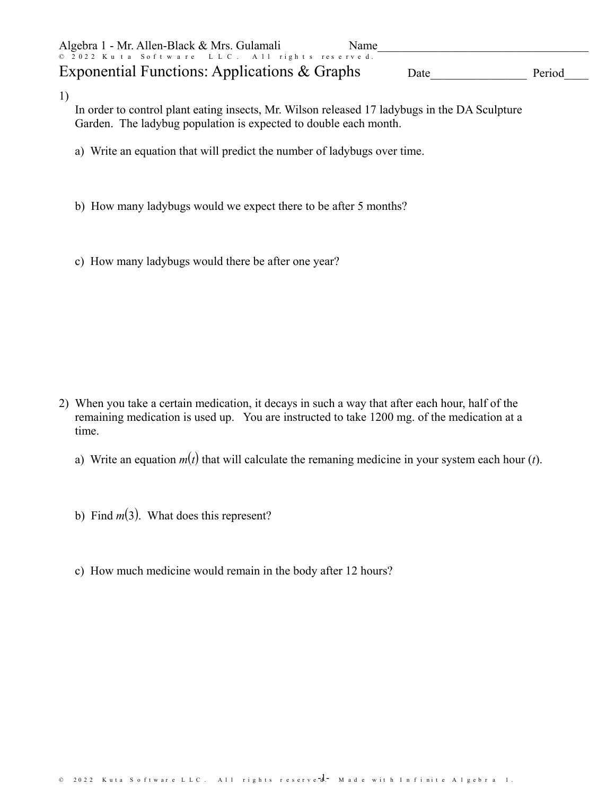| Algebra 1 - Mr. Allen-Black & Mrs. Gulamali    | <b>Name</b> |        |
|------------------------------------------------|-------------|--------|
| © 2022 Kuta Software LLC. All rights reserved. |             |        |
| Exponential Functions: Applications & Graphs   | Date        | Period |

1)

In order to control plant eating insects, Mr. Wilson released 17 ladybugs in the DA Sculpture Garden. The ladybug population is expected to double each month.

- a) Write an equation that will predict the number of ladybugs over time.
- b) How many ladybugs would we expect there to be after 5 months?
- c) How many ladybugs would there be after one year?

- 2) When you take a certain medication, it decays in such a way that after each hour, half of the remaining medication is used up. You are instructed to take 1200 mg. of the medication at a time.
	- a) Write an equation *m*(*t*) that will calculate the remaning medicine in your system each hour (*t*).
	- b) Find  $m(3)$ . What does this represent?
	- c) How much medicine would remain in the body after 12 hours?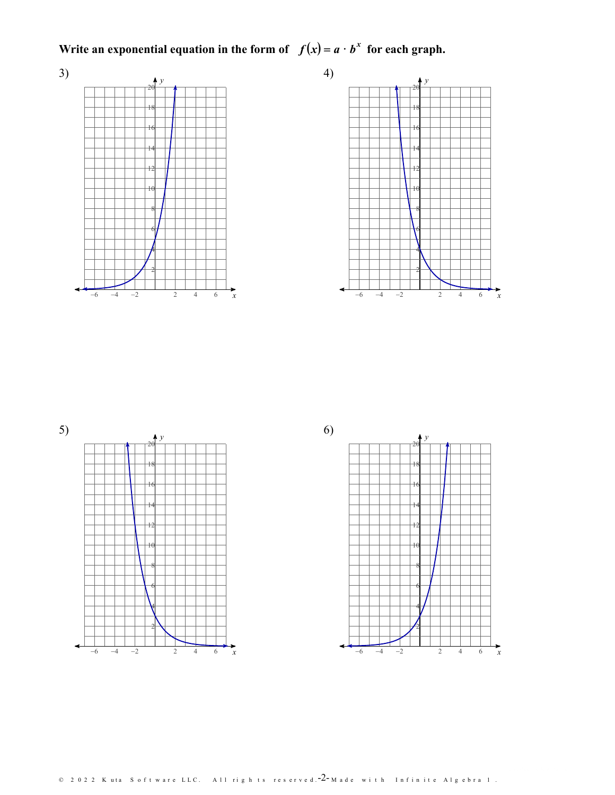Write an exponential equation in the form of  $f(x) = a \cdot b^x$  for each graph.









All rights reserved.  $2$  -Made with Infinite Algebra 1.  $\circledcirc$  2 0 2 2 K uta S of t ware LLC.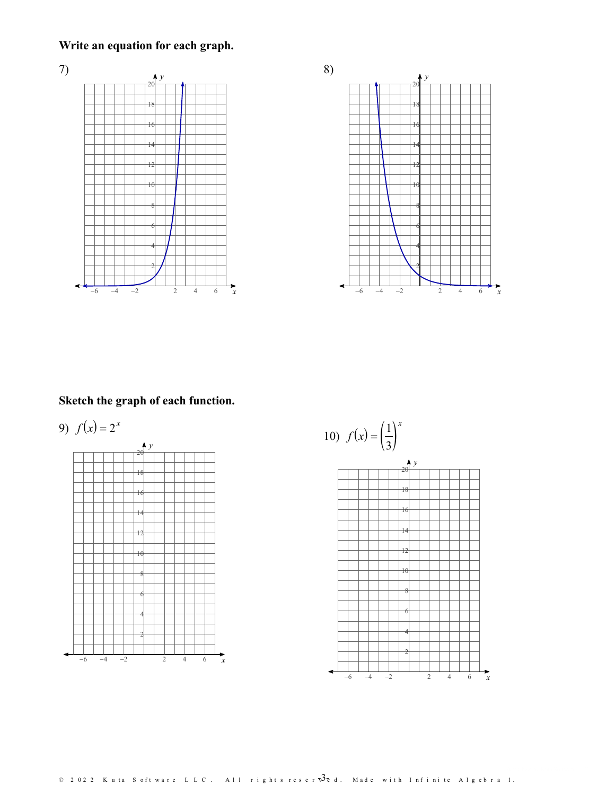## **Write an equation for each graph.**





## **Sketch the graph of each function.**

9)  $f(x) = 2^x$ *x*



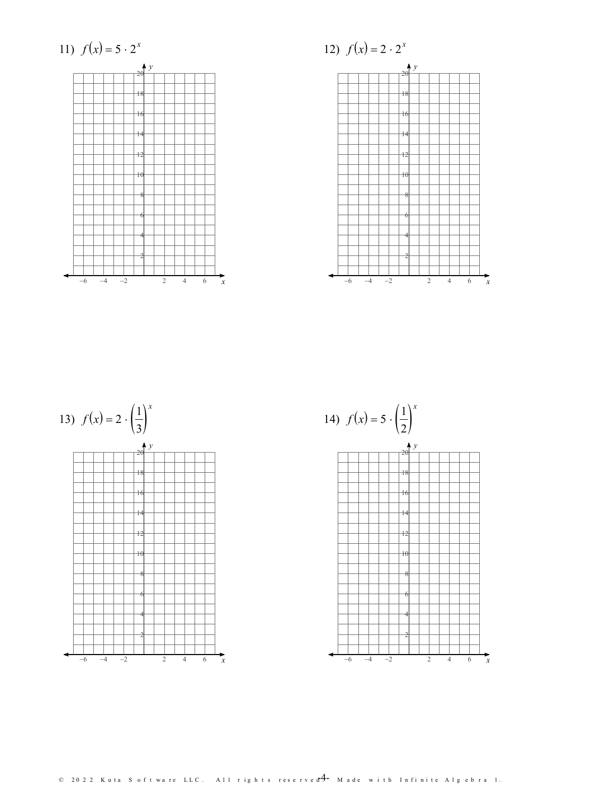

12) 
$$
f(x) = 2 \cdot 2^x
$$